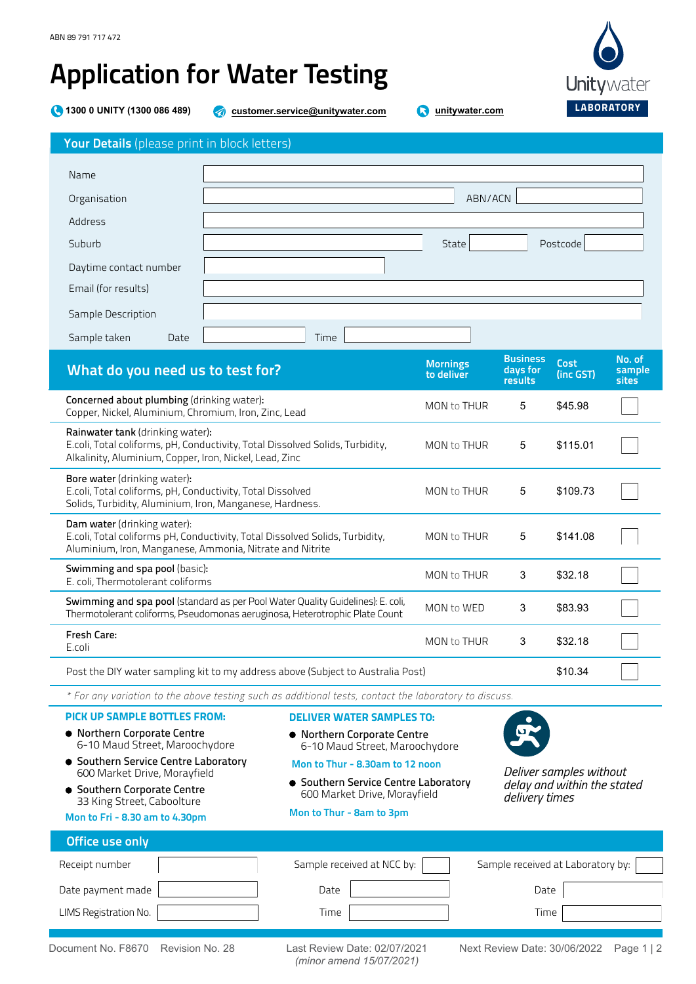## Application for Water Testing

**1300 0 UNITY (1300 086 489) customer.service[@unitywater.com](mailto:customer.service@unitywater.com) [unitywater.com](http://www.unitywater.com)**

| Your Details (please print in block letters)                                                                                                           |                                                                                                                                                                |                               |                                                                          |                                   |                           |
|--------------------------------------------------------------------------------------------------------------------------------------------------------|----------------------------------------------------------------------------------------------------------------------------------------------------------------|-------------------------------|--------------------------------------------------------------------------|-----------------------------------|---------------------------|
| Name                                                                                                                                                   |                                                                                                                                                                |                               |                                                                          |                                   |                           |
| Organisation                                                                                                                                           |                                                                                                                                                                | ABN/ACN                       |                                                                          |                                   |                           |
| Address                                                                                                                                                |                                                                                                                                                                |                               |                                                                          |                                   |                           |
| Suburb                                                                                                                                                 |                                                                                                                                                                | State                         |                                                                          | Postcode                          |                           |
| Daytime contact number                                                                                                                                 |                                                                                                                                                                |                               |                                                                          |                                   |                           |
| Email (for results)                                                                                                                                    |                                                                                                                                                                |                               |                                                                          |                                   |                           |
| Sample Description                                                                                                                                     |                                                                                                                                                                |                               |                                                                          |                                   |                           |
| Sample taken<br>Date                                                                                                                                   | Time                                                                                                                                                           |                               |                                                                          |                                   |                           |
| What do you need us to test for?                                                                                                                       |                                                                                                                                                                | <b>Mornings</b><br>to deliver | <b>Business</b><br>days for<br>results                                   | <b>Cost</b><br>(inc GST)          | No. of<br>sample<br>sites |
| Concerned about plumbing (drinking water):<br>Copper, Nickel, Aluminium, Chromium, Iron, Zinc, Lead                                                    |                                                                                                                                                                | MON to THUR                   | 5                                                                        | \$45.98                           |                           |
| Rainwater tank (drinking water):<br>Alkalinity, Aluminium, Copper, Iron, Nickel, Lead, Zinc                                                            | E.coli, Total coliforms, pH, Conductivity, Total Dissolved Solids, Turbidity,                                                                                  | MON to THUR                   | 5                                                                        | \$115.01                          |                           |
| Bore water (drinking water):<br>E.coli, Total coliforms, pH, Conductivity, Total Dissolved<br>Solids, Turbidity, Aluminium, Iron, Manganese, Hardness. |                                                                                                                                                                | MON to THUR                   | 5                                                                        | \$109.73                          |                           |
| Dam water (drinking water):<br>Aluminium, Iron, Manganese, Ammonia, Nitrate and Nitrite                                                                | E.coli, Total coliforms pH, Conductivity, Total Dissolved Solids, Turbidity,                                                                                   | MON to THUR                   | 5                                                                        | \$141.08                          |                           |
| Swimming and spa pool (basic):<br>E. coli, Thermotolerant coliforms                                                                                    |                                                                                                                                                                | MON to THUR                   | 3                                                                        | \$32.18                           |                           |
|                                                                                                                                                        | Swimming and spa pool (standard as per Pool Water Quality Guidelines): E. coli,<br>Thermotolerant coliforms, Pseudomonas aeruginosa, Heterotrophic Plate Count | MON to WED                    | 3                                                                        | \$83.93                           |                           |
| Fresh Care:<br>E.coli                                                                                                                                  |                                                                                                                                                                | MON to THUR                   | 3                                                                        | \$32.18                           |                           |
|                                                                                                                                                        | Post the DIY water sampling kit to my address above (Subject to Australia Post)                                                                                |                               |                                                                          | \$10.34                           |                           |
|                                                                                                                                                        | * For any variation to the above testing such as additional tests, contact the laboratory to discuss.                                                          |                               |                                                                          |                                   |                           |
| PICK UP SAMPLE BOTTLES FROM:<br>· Northern Corporate Centre<br>6-10 Maud Street, Maroochydore<br>• Southern Service Centre Laboratory                  | <b>DELIVER WATER SAMPLES TO:</b><br>• Northern Corporate Centre<br>6-10 Maud Street, Maroochydore                                                              |                               |                                                                          |                                   |                           |
| 600 Market Drive, Morayfield<br>• Southern Corporate Centre                                                                                            | Mon to Thur - 8.30am to 12 noon<br>• Southern Service Centre Laboratory<br>600 Market Drive, Morayfield                                                        |                               | Deliver samples without<br>delay and within the stated<br>delivery times |                                   |                           |
| 33 King Street, Caboolture<br>Mon to Fri - 8.30 am to 4.30pm                                                                                           | Mon to Thur - 8am to 3pm                                                                                                                                       |                               |                                                                          |                                   |                           |
| Office use only                                                                                                                                        |                                                                                                                                                                |                               |                                                                          |                                   |                           |
| Receipt number                                                                                                                                         | Sample received at NCC by:                                                                                                                                     |                               |                                                                          | Sample received at Laboratory by: |                           |
| Date payment made                                                                                                                                      | Date                                                                                                                                                           |                               | Date                                                                     |                                   |                           |
| LIMS Registration No.                                                                                                                                  | Time                                                                                                                                                           |                               | Time                                                                     |                                   |                           |
|                                                                                                                                                        |                                                                                                                                                                |                               |                                                                          |                                   |                           |

Document No. F8670 Revision No. 28 Last Review Date: 02/07/2021

*(minor amend 15/07/2021)*